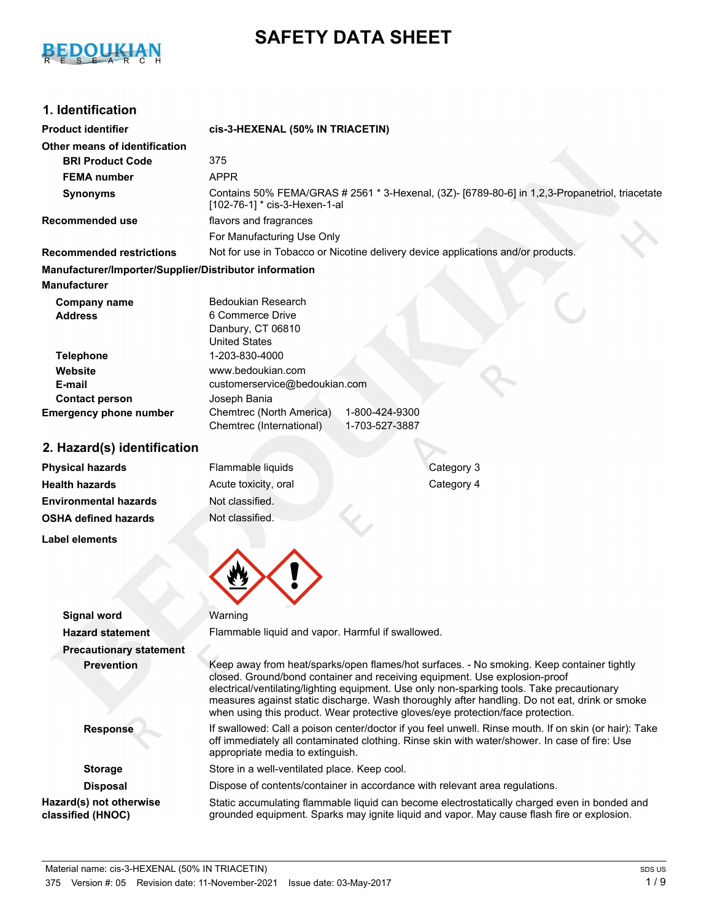

# **SAFETY DATA SHEET**

### **1. Identification**

| <b>Product identifier</b>                              | cis-3-HEXENAL (50% IN TRIACETIN)                                                                                                                                                                                                                                                                                                                                                                                                                          |  |  |
|--------------------------------------------------------|-----------------------------------------------------------------------------------------------------------------------------------------------------------------------------------------------------------------------------------------------------------------------------------------------------------------------------------------------------------------------------------------------------------------------------------------------------------|--|--|
| Other means of identification                          |                                                                                                                                                                                                                                                                                                                                                                                                                                                           |  |  |
| <b>BRI Product Code</b>                                | 375                                                                                                                                                                                                                                                                                                                                                                                                                                                       |  |  |
| <b>FEMA</b> number                                     | <b>APPR</b>                                                                                                                                                                                                                                                                                                                                                                                                                                               |  |  |
| <b>Synonyms</b>                                        | Contains 50% FEMA/GRAS # 2561 * 3-Hexenal, (3Z)- [6789-80-6] in 1,2,3-Propanetriol, triacetate<br>[102-76-1] * cis-3-Hexen-1-al                                                                                                                                                                                                                                                                                                                           |  |  |
| <b>Recommended use</b>                                 | flavors and fragrances                                                                                                                                                                                                                                                                                                                                                                                                                                    |  |  |
|                                                        | For Manufacturing Use Only                                                                                                                                                                                                                                                                                                                                                                                                                                |  |  |
| <b>Recommended restrictions</b>                        | Not for use in Tobacco or Nicotine delivery device applications and/or products.                                                                                                                                                                                                                                                                                                                                                                          |  |  |
| Manufacturer/Importer/Supplier/Distributor information |                                                                                                                                                                                                                                                                                                                                                                                                                                                           |  |  |
| <b>Manufacturer</b>                                    |                                                                                                                                                                                                                                                                                                                                                                                                                                                           |  |  |
| <b>Company name</b><br><b>Address</b>                  | <b>Bedoukian Research</b><br>6 Commerce Drive<br>Danbury, CT 06810<br><b>United States</b>                                                                                                                                                                                                                                                                                                                                                                |  |  |
| <b>Telephone</b><br>Website                            | 1-203-830-4000<br>www.bedoukian.com                                                                                                                                                                                                                                                                                                                                                                                                                       |  |  |
| E-mail                                                 | customerservice@bedoukian.com                                                                                                                                                                                                                                                                                                                                                                                                                             |  |  |
| <b>Contact person</b>                                  | Joseph Bania                                                                                                                                                                                                                                                                                                                                                                                                                                              |  |  |
| <b>Emergency phone number</b>                          | Chemtrec (North America)<br>1-800-424-9300<br>1-703-527-3887<br>Chemtrec (International)                                                                                                                                                                                                                                                                                                                                                                  |  |  |
| 2. Hazard(s) identification                            |                                                                                                                                                                                                                                                                                                                                                                                                                                                           |  |  |
| <b>Physical hazards</b>                                | Category 3<br>Flammable liquids                                                                                                                                                                                                                                                                                                                                                                                                                           |  |  |
| <b>Health hazards</b>                                  | Category 4<br>Acute toxicity, oral                                                                                                                                                                                                                                                                                                                                                                                                                        |  |  |
| <b>Environmental hazards</b>                           | Not classified.                                                                                                                                                                                                                                                                                                                                                                                                                                           |  |  |
| <b>OSHA defined hazards</b>                            | Not classified.                                                                                                                                                                                                                                                                                                                                                                                                                                           |  |  |
| <b>Label elements</b>                                  |                                                                                                                                                                                                                                                                                                                                                                                                                                                           |  |  |
| <b>Signal word</b>                                     | Warning                                                                                                                                                                                                                                                                                                                                                                                                                                                   |  |  |
| <b>Hazard statement</b>                                | Flammable liquid and vapor. Harmful if swallowed.                                                                                                                                                                                                                                                                                                                                                                                                         |  |  |
| <b>Precautionary statement</b>                         |                                                                                                                                                                                                                                                                                                                                                                                                                                                           |  |  |
| <b>Prevention</b>                                      | Keep away from heat/sparks/open flames/hot surfaces. - No smoking. Keep container tightly<br>closed. Ground/bond container and receiving equipment. Use explosion-proof<br>electrical/ventilating/lighting equipment. Use only non-sparking tools. Take precautionary<br>measures against static discharge. Wash thoroughly after handling. Do not eat, drink or smoke<br>when using this product. Wear protective gloves/eye protection/face protection. |  |  |
| <b>Response</b>                                        | If swallowed: Call a poison center/doctor if you feel unwell. Rinse mouth. If on skin (or hair): Take<br>off immediately all contaminated clothing. Rinse skin with water/shower. In case of fire: Use<br>appropriate media to extinguish.                                                                                                                                                                                                                |  |  |
| <b>Storage</b>                                         | Store in a well-ventilated place. Keep cool.                                                                                                                                                                                                                                                                                                                                                                                                              |  |  |
| <b>Disposal</b>                                        | Dispose of contents/container in accordance with relevant area regulations.                                                                                                                                                                                                                                                                                                                                                                               |  |  |
| Hazard(s) not otherwise<br>classified (HNOC)           | Static accumulating flammable liquid can become electrostatically charged even in bonded and<br>grounded equipment. Sparks may ignite liquid and vapor. May cause flash fire or explosion.                                                                                                                                                                                                                                                                |  |  |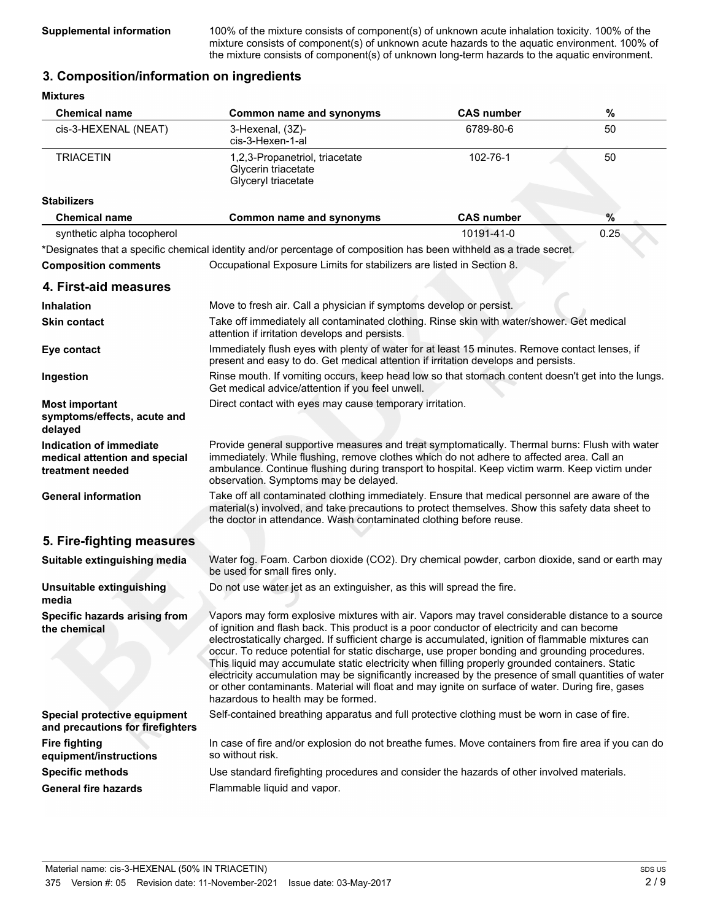**Supplemental information** 100% of the mixture consists of component(s) of unknown acute inhalation toxicity. 100% of the mixture consists of component(s) of unknown acute hazards to the aquatic environment. 100% of the mixture consists of component(s) of unknown long-term hazards to the aquatic environment.

#### **3. Composition/information on ingredients**

| <b>Mixtures</b>                                                              |                                                                                                                                                                                                                                                                                                                                                                                                                                                                                                                                                                                                                                                                                                                                                             |                   |      |
|------------------------------------------------------------------------------|-------------------------------------------------------------------------------------------------------------------------------------------------------------------------------------------------------------------------------------------------------------------------------------------------------------------------------------------------------------------------------------------------------------------------------------------------------------------------------------------------------------------------------------------------------------------------------------------------------------------------------------------------------------------------------------------------------------------------------------------------------------|-------------------|------|
| <b>Chemical name</b>                                                         | Common name and synonyms                                                                                                                                                                                                                                                                                                                                                                                                                                                                                                                                                                                                                                                                                                                                    | <b>CAS number</b> | %    |
| cis-3-HEXENAL (NEAT)                                                         | 3-Hexenal, (3Z)-<br>cis-3-Hexen-1-al                                                                                                                                                                                                                                                                                                                                                                                                                                                                                                                                                                                                                                                                                                                        | 6789-80-6         | 50   |
| <b>TRIACETIN</b>                                                             | 1,2,3-Propanetriol, triacetate<br>Glycerin triacetate<br>Glyceryl triacetate                                                                                                                                                                                                                                                                                                                                                                                                                                                                                                                                                                                                                                                                                | 102-76-1          | 50   |
| <b>Stabilizers</b>                                                           |                                                                                                                                                                                                                                                                                                                                                                                                                                                                                                                                                                                                                                                                                                                                                             |                   |      |
| <b>Chemical name</b>                                                         | Common name and synonyms                                                                                                                                                                                                                                                                                                                                                                                                                                                                                                                                                                                                                                                                                                                                    | <b>CAS number</b> | %    |
| synthetic alpha tocopherol                                                   |                                                                                                                                                                                                                                                                                                                                                                                                                                                                                                                                                                                                                                                                                                                                                             | 10191-41-0        | 0.25 |
|                                                                              | *Designates that a specific chemical identity and/or percentage of composition has been withheld as a trade secret.                                                                                                                                                                                                                                                                                                                                                                                                                                                                                                                                                                                                                                         |                   |      |
| <b>Composition comments</b>                                                  | Occupational Exposure Limits for stabilizers are listed in Section 8.                                                                                                                                                                                                                                                                                                                                                                                                                                                                                                                                                                                                                                                                                       |                   |      |
| 4. First-aid measures                                                        |                                                                                                                                                                                                                                                                                                                                                                                                                                                                                                                                                                                                                                                                                                                                                             |                   |      |
| <b>Inhalation</b>                                                            | Move to fresh air. Call a physician if symptoms develop or persist.                                                                                                                                                                                                                                                                                                                                                                                                                                                                                                                                                                                                                                                                                         |                   |      |
| <b>Skin contact</b>                                                          | Take off immediately all contaminated clothing. Rinse skin with water/shower. Get medical<br>attention if irritation develops and persists.                                                                                                                                                                                                                                                                                                                                                                                                                                                                                                                                                                                                                 |                   |      |
| Eye contact                                                                  | Immediately flush eyes with plenty of water for at least 15 minutes. Remove contact lenses, if<br>present and easy to do. Get medical attention if irritation develops and persists.                                                                                                                                                                                                                                                                                                                                                                                                                                                                                                                                                                        |                   |      |
| Ingestion                                                                    | Rinse mouth. If vomiting occurs, keep head low so that stomach content doesn't get into the lungs.<br>Get medical advice/attention if you feel unwell.                                                                                                                                                                                                                                                                                                                                                                                                                                                                                                                                                                                                      |                   |      |
| <b>Most important</b><br>symptoms/effects, acute and<br>delayed              | Direct contact with eyes may cause temporary irritation.                                                                                                                                                                                                                                                                                                                                                                                                                                                                                                                                                                                                                                                                                                    |                   |      |
| Indication of immediate<br>medical attention and special<br>treatment needed | Provide general supportive measures and treat symptomatically. Thermal burns: Flush with water<br>immediately. While flushing, remove clothes which do not adhere to affected area. Call an<br>ambulance. Continue flushing during transport to hospital. Keep victim warm. Keep victim under<br>observation. Symptoms may be delayed.                                                                                                                                                                                                                                                                                                                                                                                                                      |                   |      |
| <b>General information</b>                                                   | Take off all contaminated clothing immediately. Ensure that medical personnel are aware of the<br>material(s) involved, and take precautions to protect themselves. Show this safety data sheet to<br>the doctor in attendance. Wash contaminated clothing before reuse.                                                                                                                                                                                                                                                                                                                                                                                                                                                                                    |                   |      |
| 5. Fire-fighting measures                                                    |                                                                                                                                                                                                                                                                                                                                                                                                                                                                                                                                                                                                                                                                                                                                                             |                   |      |
| Suitable extinguishing media                                                 | Water fog. Foam. Carbon dioxide (CO2). Dry chemical powder, carbon dioxide, sand or earth may<br>be used for small fires only.                                                                                                                                                                                                                                                                                                                                                                                                                                                                                                                                                                                                                              |                   |      |
| Unsuitable extinguishing                                                     | Do not use water jet as an extinguisher, as this will spread the fire.                                                                                                                                                                                                                                                                                                                                                                                                                                                                                                                                                                                                                                                                                      |                   |      |
| media                                                                        |                                                                                                                                                                                                                                                                                                                                                                                                                                                                                                                                                                                                                                                                                                                                                             |                   |      |
| Specific hazards arising from<br>the chemical                                | Vapors may form explosive mixtures with air. Vapors may travel considerable distance to a source<br>of ignition and flash back. This product is a poor conductor of electricity and can become<br>electrostatically charged. If sufficient charge is accumulated, ignition of flammable mixtures can<br>occur. To reduce potential for static discharge, use proper bonding and grounding procedures.<br>This liquid may accumulate static electricity when filling properly grounded containers. Static<br>electricity accumulation may be significantly increased by the presence of small quantities of water<br>or other contaminants. Material will float and may ignite on surface of water. During fire, gases<br>hazardous to health may be formed. |                   |      |
| Special protective equipment<br>and precautions for firefighters             | Self-contained breathing apparatus and full protective clothing must be worn in case of fire.                                                                                                                                                                                                                                                                                                                                                                                                                                                                                                                                                                                                                                                               |                   |      |
| <b>Fire fighting</b><br>equipment/instructions                               | In case of fire and/or explosion do not breathe fumes. Move containers from fire area if you can do<br>so without risk.                                                                                                                                                                                                                                                                                                                                                                                                                                                                                                                                                                                                                                     |                   |      |
| <b>Specific methods</b>                                                      | Use standard firefighting procedures and consider the hazards of other involved materials.                                                                                                                                                                                                                                                                                                                                                                                                                                                                                                                                                                                                                                                                  |                   |      |
| <b>General fire hazards</b>                                                  | Flammable liquid and vapor.                                                                                                                                                                                                                                                                                                                                                                                                                                                                                                                                                                                                                                                                                                                                 |                   |      |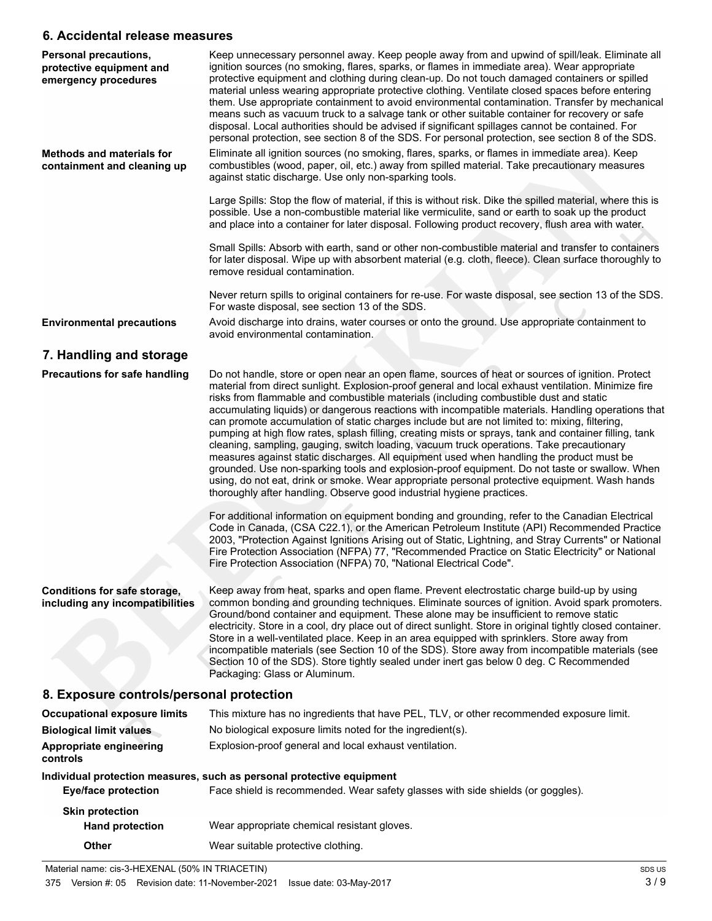#### **6. Accidental release measures**

| Personal precautions,<br>protective equipment and<br>emergency procedures | Keep unnecessary personnel away. Keep people away from and upwind of spill/leak. Eliminate all<br>ignition sources (no smoking, flares, sparks, or flames in immediate area). Wear appropriate<br>protective equipment and clothing during clean-up. Do not touch damaged containers or spilled<br>material unless wearing appropriate protective clothing. Ventilate closed spaces before entering<br>them. Use appropriate containment to avoid environmental contamination. Transfer by mechanical<br>means such as vacuum truck to a salvage tank or other suitable container for recovery or safe<br>disposal. Local authorities should be advised if significant spillages cannot be contained. For<br>personal protection, see section 8 of the SDS. For personal protection, see section 8 of the SDS.                                                                                                                                                                                                                                                                       |
|---------------------------------------------------------------------------|--------------------------------------------------------------------------------------------------------------------------------------------------------------------------------------------------------------------------------------------------------------------------------------------------------------------------------------------------------------------------------------------------------------------------------------------------------------------------------------------------------------------------------------------------------------------------------------------------------------------------------------------------------------------------------------------------------------------------------------------------------------------------------------------------------------------------------------------------------------------------------------------------------------------------------------------------------------------------------------------------------------------------------------------------------------------------------------|
| <b>Methods and materials for</b><br>containment and cleaning up           | Eliminate all ignition sources (no smoking, flares, sparks, or flames in immediate area). Keep<br>combustibles (wood, paper, oil, etc.) away from spilled material. Take precautionary measures<br>against static discharge. Use only non-sparking tools.                                                                                                                                                                                                                                                                                                                                                                                                                                                                                                                                                                                                                                                                                                                                                                                                                            |
|                                                                           | Large Spills: Stop the flow of material, if this is without risk. Dike the spilled material, where this is<br>possible. Use a non-combustible material like vermiculite, sand or earth to soak up the product<br>and place into a container for later disposal. Following product recovery, flush area with water.                                                                                                                                                                                                                                                                                                                                                                                                                                                                                                                                                                                                                                                                                                                                                                   |
|                                                                           | Small Spills: Absorb with earth, sand or other non-combustible material and transfer to containers<br>for later disposal. Wipe up with absorbent material (e.g. cloth, fleece). Clean surface thoroughly to<br>remove residual contamination.                                                                                                                                                                                                                                                                                                                                                                                                                                                                                                                                                                                                                                                                                                                                                                                                                                        |
|                                                                           | Never return spills to original containers for re-use. For waste disposal, see section 13 of the SDS.<br>For waste disposal, see section 13 of the SDS.                                                                                                                                                                                                                                                                                                                                                                                                                                                                                                                                                                                                                                                                                                                                                                                                                                                                                                                              |
| <b>Environmental precautions</b>                                          | Avoid discharge into drains, water courses or onto the ground. Use appropriate containment to<br>avoid environmental contamination.                                                                                                                                                                                                                                                                                                                                                                                                                                                                                                                                                                                                                                                                                                                                                                                                                                                                                                                                                  |
| 7. Handling and storage                                                   |                                                                                                                                                                                                                                                                                                                                                                                                                                                                                                                                                                                                                                                                                                                                                                                                                                                                                                                                                                                                                                                                                      |
| <b>Precautions for safe handling</b>                                      | Do not handle, store or open near an open flame, sources of heat or sources of ignition. Protect<br>material from direct sunlight. Explosion-proof general and local exhaust ventilation. Minimize fire<br>risks from flammable and combustible materials (including combustible dust and static<br>accumulating liquids) or dangerous reactions with incompatible materials. Handling operations that<br>can promote accumulation of static charges include but are not limited to: mixing, filtering,<br>pumping at high flow rates, splash filling, creating mists or sprays, tank and container filling, tank<br>cleaning, sampling, gauging, switch loading, vacuum truck operations. Take precautionary<br>measures against static discharges. All equipment used when handling the product must be<br>grounded. Use non-sparking tools and explosion-proof equipment. Do not taste or swallow. When<br>using, do not eat, drink or smoke. Wear appropriate personal protective equipment. Wash hands<br>thoroughly after handling. Observe good industrial hygiene practices. |
|                                                                           | For additional information on equipment bonding and grounding, refer to the Canadian Electrical<br>Code in Canada, (CSA C22.1), or the American Petroleum Institute (API) Recommended Practice<br>2003, "Protection Against Ignitions Arising out of Static, Lightning, and Stray Currents" or National<br>Fire Protection Association (NFPA) 77, "Recommended Practice on Static Electricity" or National<br>Fire Protection Association (NFPA) 70, "National Electrical Code".                                                                                                                                                                                                                                                                                                                                                                                                                                                                                                                                                                                                     |
| <b>Conditions for safe storage,</b><br>including any incompatibilities    | Keep away from heat, sparks and open flame. Prevent electrostatic charge build-up by using<br>common bonding and grounding techniques. Eliminate sources of ignition. Avoid spark promoters.<br>Ground/bond container and equipment. These alone may be insufficient to remove static<br>electricity. Store in a cool, dry place out of direct sunlight. Store in original tightly closed container.<br>Store in a well-ventilated place. Keep in an area equipped with sprinklers. Store away from<br>incompatible materials (see Section 10 of the SDS). Store away from incompatible materials (see<br>Section 10 of the SDS). Store tightly sealed under inert gas below 0 deg. C Recommended<br>Packaging: Glass or Aluminum.                                                                                                                                                                                                                                                                                                                                                   |
| 8. Exposure controls/personal protection                                  |                                                                                                                                                                                                                                                                                                                                                                                                                                                                                                                                                                                                                                                                                                                                                                                                                                                                                                                                                                                                                                                                                      |
| <b>Occupational exposure limits</b>                                       | This mixture has no ingredients that have PEL, TLV, or other recommended exposure limit.                                                                                                                                                                                                                                                                                                                                                                                                                                                                                                                                                                                                                                                                                                                                                                                                                                                                                                                                                                                             |
| <b>Biological limit values</b>                                            | No biological exposure limits noted for the ingredient(s).                                                                                                                                                                                                                                                                                                                                                                                                                                                                                                                                                                                                                                                                                                                                                                                                                                                                                                                                                                                                                           |
| Appropriate engineering<br>controls                                       | Explosion-proof general and local exhaust ventilation.                                                                                                                                                                                                                                                                                                                                                                                                                                                                                                                                                                                                                                                                                                                                                                                                                                                                                                                                                                                                                               |
| <b>Eye/face protection</b>                                                | Individual protection measures, such as personal protective equipment<br>Face shield is recommended. Wear safety glasses with side shields (or goggles).                                                                                                                                                                                                                                                                                                                                                                                                                                                                                                                                                                                                                                                                                                                                                                                                                                                                                                                             |
| <b>Skin protection</b><br><b>Hand protection</b>                          | Wear appropriate chemical resistant gloves.                                                                                                                                                                                                                                                                                                                                                                                                                                                                                                                                                                                                                                                                                                                                                                                                                                                                                                                                                                                                                                          |
| <b>Other</b>                                                              | Wear suitable protective clothing.                                                                                                                                                                                                                                                                                                                                                                                                                                                                                                                                                                                                                                                                                                                                                                                                                                                                                                                                                                                                                                                   |
|                                                                           |                                                                                                                                                                                                                                                                                                                                                                                                                                                                                                                                                                                                                                                                                                                                                                                                                                                                                                                                                                                                                                                                                      |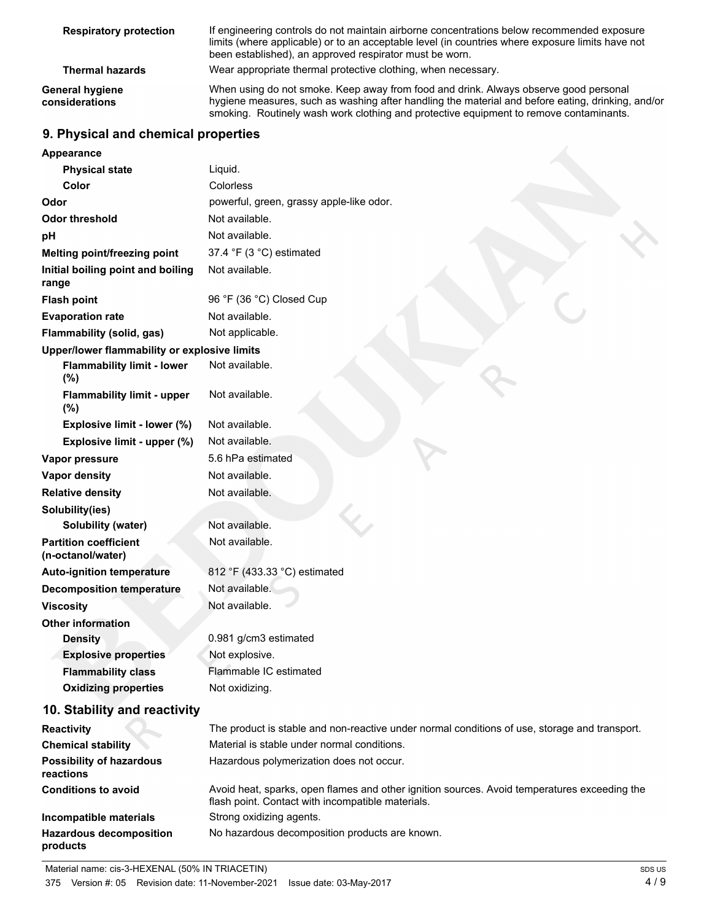| <b>Respiratory protection</b>     | If engineering controls do not maintain airborne concentrations below recommended exposure<br>limits (where applicable) or to an acceptable level (in countries where exposure limits have not<br>been established), an approved respirator must be worn.                           |
|-----------------------------------|-------------------------------------------------------------------------------------------------------------------------------------------------------------------------------------------------------------------------------------------------------------------------------------|
| <b>Thermal hazards</b>            | Wear appropriate thermal protective clothing, when necessary.                                                                                                                                                                                                                       |
| General hygiene<br>considerations | When using do not smoke. Keep away from food and drink. Always observe good personal<br>hygiene measures, such as washing after handling the material and before eating, drinking, and/or<br>smoking. Routinely wash work clothing and protective equipment to remove contaminants. |

### **9. Physical and chemical properties**

| Appearance                                        |                                                                                                                                                   |  |
|---------------------------------------------------|---------------------------------------------------------------------------------------------------------------------------------------------------|--|
| <b>Physical state</b>                             | Liquid.                                                                                                                                           |  |
| Color                                             | Colorless                                                                                                                                         |  |
| Odor                                              | powerful, green, grassy apple-like odor.                                                                                                          |  |
| <b>Odor threshold</b>                             | Not available.                                                                                                                                    |  |
| pH                                                | Not available.                                                                                                                                    |  |
| Melting point/freezing point                      | 37.4 °F (3 °C) estimated                                                                                                                          |  |
| Initial boiling point and boiling<br>range        | Not available.                                                                                                                                    |  |
| <b>Flash point</b>                                | 96 °F (36 °C) Closed Cup                                                                                                                          |  |
| <b>Evaporation rate</b>                           | Not available.                                                                                                                                    |  |
| Flammability (solid, gas)                         | Not applicable.                                                                                                                                   |  |
| Upper/lower flammability or explosive limits      |                                                                                                                                                   |  |
| <b>Flammability limit - lower</b><br>$(\%)$       | Not available.                                                                                                                                    |  |
| <b>Flammability limit - upper</b><br>$(\% )$      | Not available.                                                                                                                                    |  |
| Explosive limit - lower (%)                       | Not available.                                                                                                                                    |  |
| Explosive limit - upper (%)                       | Not available.                                                                                                                                    |  |
| Vapor pressure                                    | 5.6 hPa estimated                                                                                                                                 |  |
| <b>Vapor density</b>                              | Not available.                                                                                                                                    |  |
| <b>Relative density</b>                           | Not available.                                                                                                                                    |  |
| Solubility(ies)                                   |                                                                                                                                                   |  |
| <b>Solubility (water)</b>                         | Not available.                                                                                                                                    |  |
| <b>Partition coefficient</b><br>(n-octanol/water) | Not available.                                                                                                                                    |  |
| <b>Auto-ignition temperature</b>                  | 812 °F (433.33 °C) estimated                                                                                                                      |  |
| <b>Decomposition temperature</b>                  | Not available.                                                                                                                                    |  |
| <b>Viscosity</b>                                  | Not available.                                                                                                                                    |  |
| <b>Other information</b>                          |                                                                                                                                                   |  |
| <b>Density</b>                                    | 0.981 g/cm3 estimated                                                                                                                             |  |
| <b>Explosive properties</b>                       | Not explosive.                                                                                                                                    |  |
| <b>Flammability class</b>                         | Flammable IC estimated                                                                                                                            |  |
| <b>Oxidizing properties</b>                       | Not oxidizing.                                                                                                                                    |  |
| 10. Stability and reactivity                      |                                                                                                                                                   |  |
| Reactivity                                        | The product is stable and non-reactive under normal conditions of use, storage and transport.                                                     |  |
| <b>Chemical stability</b>                         | Material is stable under normal conditions.                                                                                                       |  |
| <b>Possibility of hazardous</b><br>reactions      | Hazardous polymerization does not occur.                                                                                                          |  |
| <b>Conditions to avoid</b>                        | Avoid heat, sparks, open flames and other ignition sources. Avoid temperatures exceeding the<br>flash point. Contact with incompatible materials. |  |
| Incompatible materials                            | Strong oxidizing agents.                                                                                                                          |  |
| <b>Hazardous decomposition</b><br>products        | No hazardous decomposition products are known.                                                                                                    |  |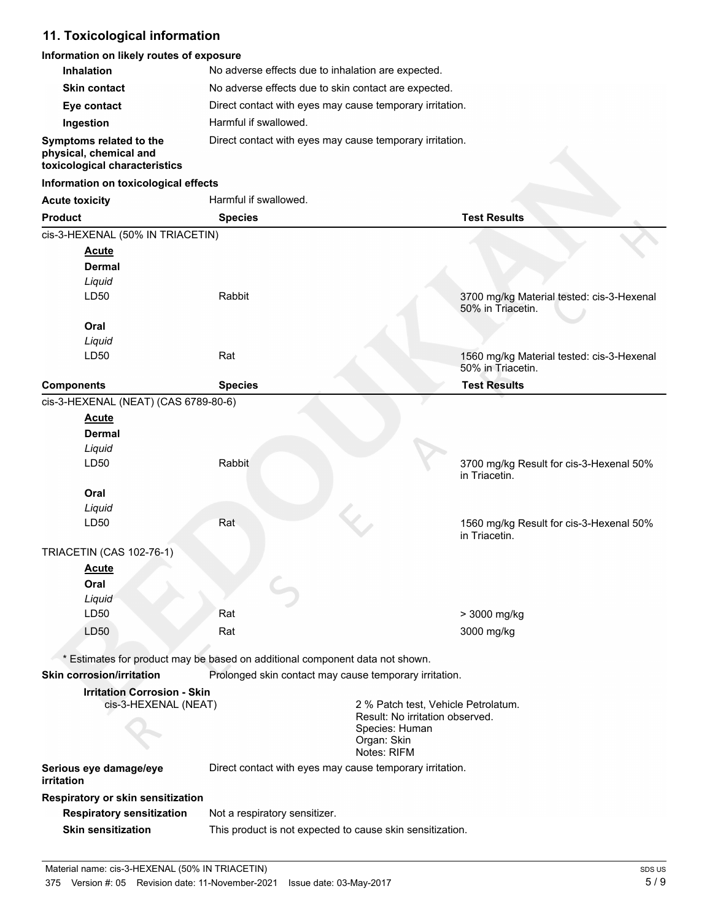## **11. Toxicological information**

#### **Information on likely routes of exposure**

| <b>Inhalation</b>                                                                  | No adverse effects due to inhalation are expected.                              |                                                           |                                                                |  |
|------------------------------------------------------------------------------------|---------------------------------------------------------------------------------|-----------------------------------------------------------|----------------------------------------------------------------|--|
| <b>Skin contact</b>                                                                | No adverse effects due to skin contact are expected.                            |                                                           |                                                                |  |
| Eye contact                                                                        |                                                                                 | Direct contact with eyes may cause temporary irritation.  |                                                                |  |
| Ingestion                                                                          | Harmful if swallowed.                                                           |                                                           |                                                                |  |
| Symptoms related to the<br>physical, chemical and<br>toxicological characteristics | Direct contact with eyes may cause temporary irritation.                        |                                                           |                                                                |  |
| Information on toxicological effects                                               |                                                                                 |                                                           |                                                                |  |
| <b>Acute toxicity</b>                                                              | Harmful if swallowed.                                                           |                                                           |                                                                |  |
| <b>Product</b>                                                                     | <b>Species</b>                                                                  |                                                           | <b>Test Results</b>                                            |  |
| cis-3-HEXENAL (50% IN TRIACETIN)                                                   |                                                                                 |                                                           |                                                                |  |
| <b>Acute</b>                                                                       |                                                                                 |                                                           |                                                                |  |
| <b>Dermal</b>                                                                      |                                                                                 |                                                           |                                                                |  |
| Liquid                                                                             |                                                                                 |                                                           |                                                                |  |
| LD50                                                                               | Rabbit                                                                          |                                                           | 3700 mg/kg Material tested: cis-3-Hexenal<br>50% in Triacetin. |  |
| Oral                                                                               |                                                                                 |                                                           |                                                                |  |
| Liquid                                                                             |                                                                                 |                                                           |                                                                |  |
| LD50                                                                               | Rat                                                                             |                                                           | 1560 mg/kg Material tested: cis-3-Hexenal<br>50% in Triacetin. |  |
| <b>Components</b>                                                                  | <b>Species</b>                                                                  |                                                           | <b>Test Results</b>                                            |  |
| cis-3-HEXENAL (NEAT) (CAS 6789-80-6)                                               |                                                                                 |                                                           |                                                                |  |
| <b>Acute</b>                                                                       |                                                                                 |                                                           |                                                                |  |
| <b>Dermal</b>                                                                      |                                                                                 |                                                           |                                                                |  |
| Liquid                                                                             |                                                                                 |                                                           |                                                                |  |
| LD50                                                                               | Rabbit                                                                          |                                                           | 3700 mg/kg Result for cis-3-Hexenal 50%<br>in Triacetin.       |  |
| Oral                                                                               |                                                                                 |                                                           |                                                                |  |
| Liquid                                                                             |                                                                                 |                                                           |                                                                |  |
| LD50                                                                               | Rat                                                                             |                                                           | 1560 mg/kg Result for cis-3-Hexenal 50%<br>in Triacetin.       |  |
| <b>TRIACETIN (CAS 102-76-1)</b>                                                    |                                                                                 |                                                           |                                                                |  |
| <b>Acute</b>                                                                       |                                                                                 |                                                           |                                                                |  |
| Oral                                                                               |                                                                                 |                                                           |                                                                |  |
| Liquid                                                                             |                                                                                 |                                                           |                                                                |  |
| LD50                                                                               | Rat                                                                             |                                                           | > 3000 mg/kg                                                   |  |
| LD50                                                                               | Rat                                                                             |                                                           | 3000 mg/kg                                                     |  |
|                                                                                    |                                                                                 |                                                           |                                                                |  |
|                                                                                    | * Estimates for product may be based on additional component data not shown.    |                                                           |                                                                |  |
| <b>Skin corrosion/irritation</b>                                                   | Prolonged skin contact may cause temporary irritation.                          |                                                           |                                                                |  |
| <b>Irritation Corrosion - Skin</b><br>cis-3-HEXENAL (NEAT)                         | 2 % Patch test, Vehicle Petrolatum.                                             |                                                           |                                                                |  |
|                                                                                    | Result: No irritation observed.<br>Species: Human<br>Organ: Skin<br>Notes: RIFM |                                                           |                                                                |  |
| Serious eye damage/eye<br>irritation                                               |                                                                                 | Direct contact with eyes may cause temporary irritation.  |                                                                |  |
| Respiratory or skin sensitization                                                  |                                                                                 |                                                           |                                                                |  |
| <b>Respiratory sensitization</b>                                                   | Not a respiratory sensitizer.                                                   |                                                           |                                                                |  |
| <b>Skin sensitization</b>                                                          |                                                                                 | This product is not expected to cause skin sensitization. |                                                                |  |
|                                                                                    |                                                                                 |                                                           |                                                                |  |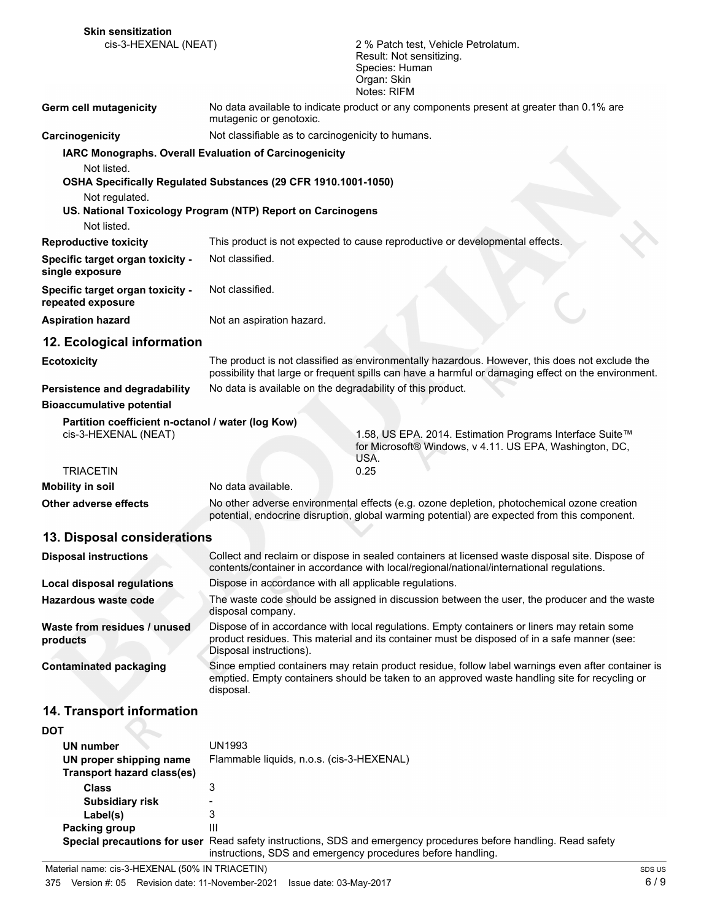| <b>Skin sensitization</b>                             |                                                                                                                                                                                                                        |                                                                                                                                                                                             |
|-------------------------------------------------------|------------------------------------------------------------------------------------------------------------------------------------------------------------------------------------------------------------------------|---------------------------------------------------------------------------------------------------------------------------------------------------------------------------------------------|
| cis-3-HEXENAL (NEAT)                                  |                                                                                                                                                                                                                        | 2 % Patch test, Vehicle Petrolatum.                                                                                                                                                         |
|                                                       |                                                                                                                                                                                                                        | Result: Not sensitizing.<br>Species: Human                                                                                                                                                  |
|                                                       |                                                                                                                                                                                                                        | Organ: Skin                                                                                                                                                                                 |
|                                                       |                                                                                                                                                                                                                        | Notes: RIFM                                                                                                                                                                                 |
| <b>Germ cell mutagenicity</b>                         | mutagenic or genotoxic.                                                                                                                                                                                                | No data available to indicate product or any components present at greater than 0.1% are                                                                                                    |
| Carcinogenicity                                       | Not classifiable as to carcinogenicity to humans.                                                                                                                                                                      |                                                                                                                                                                                             |
|                                                       | IARC Monographs. Overall Evaluation of Carcinogenicity                                                                                                                                                                 |                                                                                                                                                                                             |
| Not listed.                                           |                                                                                                                                                                                                                        |                                                                                                                                                                                             |
|                                                       | OSHA Specifically Regulated Substances (29 CFR 1910.1001-1050)                                                                                                                                                         |                                                                                                                                                                                             |
| Not regulated.                                        |                                                                                                                                                                                                                        |                                                                                                                                                                                             |
|                                                       | US. National Toxicology Program (NTP) Report on Carcinogens                                                                                                                                                            |                                                                                                                                                                                             |
| Not listed.                                           |                                                                                                                                                                                                                        |                                                                                                                                                                                             |
| <b>Reproductive toxicity</b>                          |                                                                                                                                                                                                                        | This product is not expected to cause reproductive or developmental effects.                                                                                                                |
| Specific target organ toxicity -<br>single exposure   | Not classified.                                                                                                                                                                                                        |                                                                                                                                                                                             |
| Specific target organ toxicity -<br>repeated exposure | Not classified.                                                                                                                                                                                                        |                                                                                                                                                                                             |
| <b>Aspiration hazard</b>                              | Not an aspiration hazard.                                                                                                                                                                                              |                                                                                                                                                                                             |
| 12. Ecological information                            |                                                                                                                                                                                                                        |                                                                                                                                                                                             |
| <b>Ecotoxicity</b>                                    | The product is not classified as environmentally hazardous. However, this does not exclude the<br>possibility that large or frequent spills can have a harmful or damaging effect on the environment.                  |                                                                                                                                                                                             |
| Persistence and degradability                         | No data is available on the degradability of this product.                                                                                                                                                             |                                                                                                                                                                                             |
| <b>Bioaccumulative potential</b>                      |                                                                                                                                                                                                                        |                                                                                                                                                                                             |
| Partition coefficient n-octanol / water (log Kow)     |                                                                                                                                                                                                                        |                                                                                                                                                                                             |
| cis-3-HEXENAL (NEAT)                                  |                                                                                                                                                                                                                        | 1.58, US EPA. 2014. Estimation Programs Interface Suite™                                                                                                                                    |
|                                                       |                                                                                                                                                                                                                        | for Microsoft® Windows, v 4.11. US EPA, Washington, DC,<br>USA.                                                                                                                             |
| <b>TRIACETIN</b>                                      |                                                                                                                                                                                                                        | 0.25                                                                                                                                                                                        |
| <b>Mobility in soil</b>                               | No data available.                                                                                                                                                                                                     |                                                                                                                                                                                             |
| Other adverse effects                                 |                                                                                                                                                                                                                        | No other adverse environmental effects (e.g. ozone depletion, photochemical ozone creation<br>potential, endocrine disruption, global warming potential) are expected from this component.  |
| 13. Disposal considerations                           |                                                                                                                                                                                                                        |                                                                                                                                                                                             |
| <b>Disposal instructions</b>                          |                                                                                                                                                                                                                        | Collect and reclaim or dispose in sealed containers at licensed waste disposal site. Dispose of<br>contents/container in accordance with local/regional/national/international regulations. |
| <b>Local disposal regulations</b>                     | Dispose in accordance with all applicable regulations.                                                                                                                                                                 |                                                                                                                                                                                             |
| Hazardous waste code                                  | disposal company.                                                                                                                                                                                                      | The waste code should be assigned in discussion between the user, the producer and the waste                                                                                                |
| Waste from residues / unused<br>products              | Dispose of in accordance with local regulations. Empty containers or liners may retain some<br>product residues. This material and its container must be disposed of in a safe manner (see:<br>Disposal instructions). |                                                                                                                                                                                             |
|                                                       |                                                                                                                                                                                                                        |                                                                                                                                                                                             |

#### Since emptied containers may retain product residue, follow label warnings even after container is emptied. Empty containers should be taken to an approved waste handling site for recycling or disposal. **Contaminated packaging**

#### **14. Transport information**

| <b>DOT</b>                 |                                                                                                                                                                                 |
|----------------------------|---------------------------------------------------------------------------------------------------------------------------------------------------------------------------------|
| UN number                  | <b>UN1993</b>                                                                                                                                                                   |
| UN proper shipping name    | Flammable liquids, n.o.s. (cis-3-HEXENAL)                                                                                                                                       |
| Transport hazard class(es) |                                                                                                                                                                                 |
| <b>Class</b>               |                                                                                                                                                                                 |
| <b>Subsidiary risk</b>     |                                                                                                                                                                                 |
| Label(s)                   |                                                                                                                                                                                 |
| Packing group              | Ш                                                                                                                                                                               |
|                            | Special precautions for user Read safety instructions, SDS and emergency procedures before handling. Read safety<br>instructions, SDS and emergency procedures before handling. |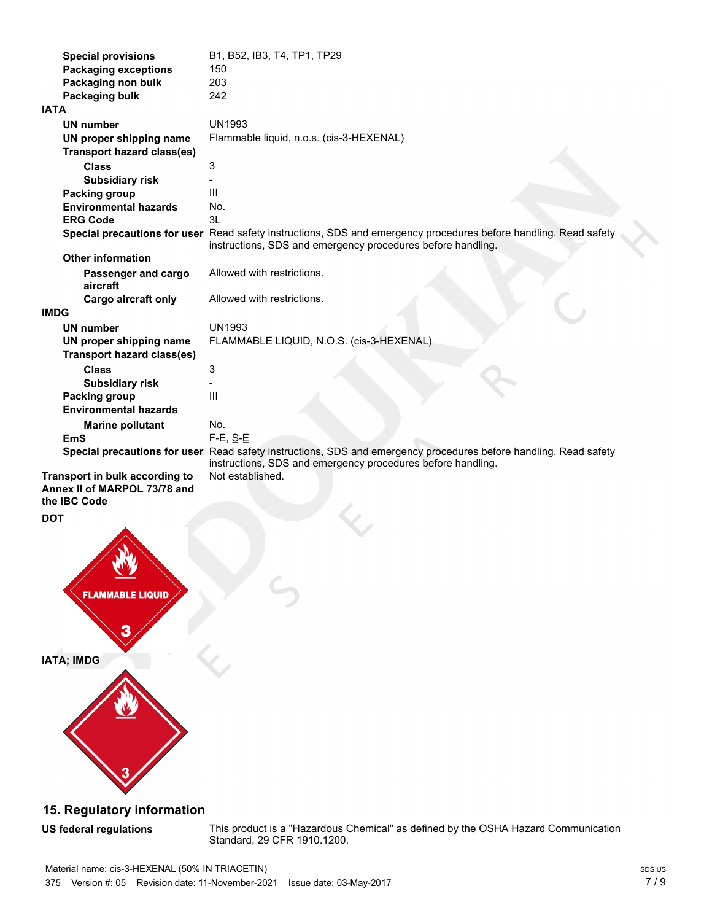| <b>Special provisions</b>                                      | B1, B52, IB3, T4, TP1, TP29                                                                                                                                                     |
|----------------------------------------------------------------|---------------------------------------------------------------------------------------------------------------------------------------------------------------------------------|
| <b>Packaging exceptions</b>                                    | 150                                                                                                                                                                             |
| Packaging non bulk                                             | 203                                                                                                                                                                             |
| Packaging bulk                                                 | 242                                                                                                                                                                             |
| <b>IATA</b>                                                    |                                                                                                                                                                                 |
| <b>UN number</b>                                               | <b>UN1993</b>                                                                                                                                                                   |
| UN proper shipping name                                        | Flammable liquid, n.o.s. (cis-3-HEXENAL)                                                                                                                                        |
| <b>Transport hazard class(es)</b>                              |                                                                                                                                                                                 |
| Class                                                          | 3                                                                                                                                                                               |
| <b>Subsidiary risk</b>                                         |                                                                                                                                                                                 |
| <b>Packing group</b>                                           | Ш                                                                                                                                                                               |
| <b>Environmental hazards</b>                                   | No.                                                                                                                                                                             |
| <b>ERG Code</b>                                                | 3L                                                                                                                                                                              |
|                                                                | Special precautions for user Read safety instructions, SDS and emergency procedures before handling. Read safety<br>instructions, SDS and emergency procedures before handling. |
| <b>Other information</b>                                       |                                                                                                                                                                                 |
| Passenger and cargo<br>aircraft                                | Allowed with restrictions.                                                                                                                                                      |
| Cargo aircraft only                                            | Allowed with restrictions.                                                                                                                                                      |
| <b>IMDG</b>                                                    |                                                                                                                                                                                 |
| UN number                                                      | <b>UN1993</b>                                                                                                                                                                   |
| UN proper shipping name                                        | FLAMMABLE LIQUID, N.O.S. (cis-3-HEXENAL)                                                                                                                                        |
| <b>Transport hazard class(es)</b>                              |                                                                                                                                                                                 |
| <b>Class</b>                                                   | 3                                                                                                                                                                               |
| <b>Subsidiary risk</b>                                         |                                                                                                                                                                                 |
| <b>Packing group</b>                                           | III                                                                                                                                                                             |
| <b>Environmental hazards</b>                                   |                                                                                                                                                                                 |
| <b>Marine pollutant</b>                                        | No.                                                                                                                                                                             |
| <b>EmS</b>                                                     | $F-E, S-E$                                                                                                                                                                      |
|                                                                | Special precautions for user Read safety instructions, SDS and emergency procedures before handling. Read safety<br>instructions, SDS and emergency procedures before handling. |
| Transport in bulk according to<br>Annoy II of MADDOL 72/70 and | Not established.                                                                                                                                                                |

 $\overline{\mathbf{C}}$ 

**Annex II of MARPOL 73/78 the IBC Code**



### **15. Regulatory information**

**US federal regulations**

This product is a "Hazardous Chemical" as defined by the OSHA Hazard Communication Standard, 29 CFR 1910.1200.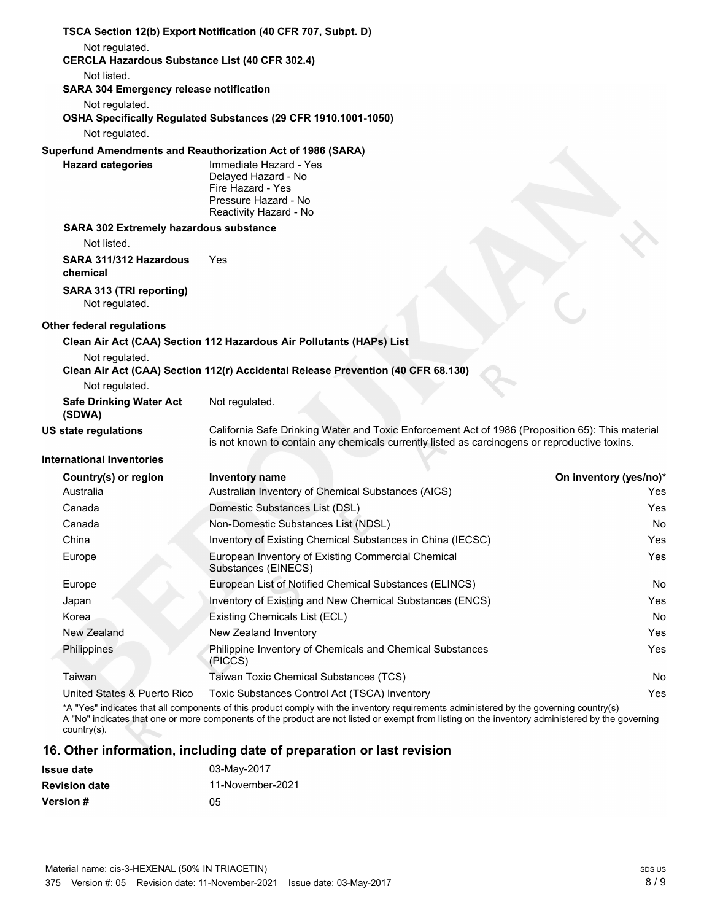| Not regulated.<br><b>CERCLA Hazardous Substance List (40 CFR 302.4)</b> |                                                                                                                                                                                                                                                                                                                                                                     |                        |
|-------------------------------------------------------------------------|---------------------------------------------------------------------------------------------------------------------------------------------------------------------------------------------------------------------------------------------------------------------------------------------------------------------------------------------------------------------|------------------------|
| Not listed.                                                             |                                                                                                                                                                                                                                                                                                                                                                     |                        |
| <b>SARA 304 Emergency release notification</b>                          |                                                                                                                                                                                                                                                                                                                                                                     |                        |
| Not regulated.                                                          |                                                                                                                                                                                                                                                                                                                                                                     |                        |
|                                                                         | OSHA Specifically Regulated Substances (29 CFR 1910.1001-1050)                                                                                                                                                                                                                                                                                                      |                        |
| Not regulated.                                                          |                                                                                                                                                                                                                                                                                                                                                                     |                        |
|                                                                         | Superfund Amendments and Reauthorization Act of 1986 (SARA)                                                                                                                                                                                                                                                                                                         |                        |
| <b>Hazard categories</b>                                                | Immediate Hazard - Yes<br>Delayed Hazard - No<br>Fire Hazard - Yes<br>Pressure Hazard - No<br>Reactivity Hazard - No                                                                                                                                                                                                                                                |                        |
| <b>SARA 302 Extremely hazardous substance</b>                           |                                                                                                                                                                                                                                                                                                                                                                     |                        |
| Not listed.                                                             |                                                                                                                                                                                                                                                                                                                                                                     |                        |
| SARA 311/312 Hazardous<br>chemical                                      | Yes                                                                                                                                                                                                                                                                                                                                                                 |                        |
| SARA 313 (TRI reporting)<br>Not regulated.                              |                                                                                                                                                                                                                                                                                                                                                                     |                        |
| <b>Other federal regulations</b>                                        |                                                                                                                                                                                                                                                                                                                                                                     |                        |
|                                                                         | Clean Air Act (CAA) Section 112 Hazardous Air Pollutants (HAPs) List                                                                                                                                                                                                                                                                                                |                        |
| Not regulated.                                                          | Clean Air Act (CAA) Section 112(r) Accidental Release Prevention (40 CFR 68.130)                                                                                                                                                                                                                                                                                    |                        |
| Not regulated.<br><b>Safe Drinking Water Act</b><br>(SDWA)              | Not regulated.                                                                                                                                                                                                                                                                                                                                                      |                        |
| <b>US state regulations</b>                                             | California Safe Drinking Water and Toxic Enforcement Act of 1986 (Proposition 65): This material<br>is not known to contain any chemicals currently listed as carcinogens or reproductive toxins.                                                                                                                                                                   |                        |
| <b>International Inventories</b>                                        |                                                                                                                                                                                                                                                                                                                                                                     |                        |
| Country(s) or region                                                    | Inventory name                                                                                                                                                                                                                                                                                                                                                      | On inventory (yes/no)* |
| Australia                                                               | Australian Inventory of Chemical Substances (AICS)                                                                                                                                                                                                                                                                                                                  | Yes                    |
| Canada                                                                  | Domestic Substances List (DSL)                                                                                                                                                                                                                                                                                                                                      | Yes                    |
| Canada                                                                  | Non-Domestic Substances List (NDSL)                                                                                                                                                                                                                                                                                                                                 | No                     |
| China                                                                   | Inventory of Existing Chemical Substances in China (IECSC)                                                                                                                                                                                                                                                                                                          | Yes                    |
| Europe                                                                  | European Inventory of Existing Commercial Chemical<br>Substances (EINECS)                                                                                                                                                                                                                                                                                           | Yes                    |
| Europe                                                                  | European List of Notified Chemical Substances (ELINCS)                                                                                                                                                                                                                                                                                                              | No                     |
| Japan                                                                   | Inventory of Existing and New Chemical Substances (ENCS)                                                                                                                                                                                                                                                                                                            | Yes                    |
| Korea                                                                   | Existing Chemicals List (ECL)                                                                                                                                                                                                                                                                                                                                       | No                     |
| New Zealand                                                             | New Zealand Inventory                                                                                                                                                                                                                                                                                                                                               | Yes                    |
| Philippines                                                             | Philippine Inventory of Chemicals and Chemical Substances<br>(PICCS)                                                                                                                                                                                                                                                                                                | Yes                    |
| Taiwan                                                                  | Taiwan Toxic Chemical Substances (TCS)                                                                                                                                                                                                                                                                                                                              | No                     |
| United States & Puerto Rico                                             | Toxic Substances Control Act (TSCA) Inventory                                                                                                                                                                                                                                                                                                                       | Yes                    |
| $country(s)$ .                                                          | *A "Yes" indicates that all components of this product comply with the inventory requirements administered by the governing country(s)<br>A "No" indicates that one or more components of the product are not listed or exempt from listing on the inventory administered by the governing<br>16. Other information, including date of preparation or last revision |                        |

| <b>Issue date</b>    | 03-May-2017      |
|----------------------|------------------|
| <b>Revision date</b> | 11-November-2021 |
| <b>Version #</b>     | 05               |